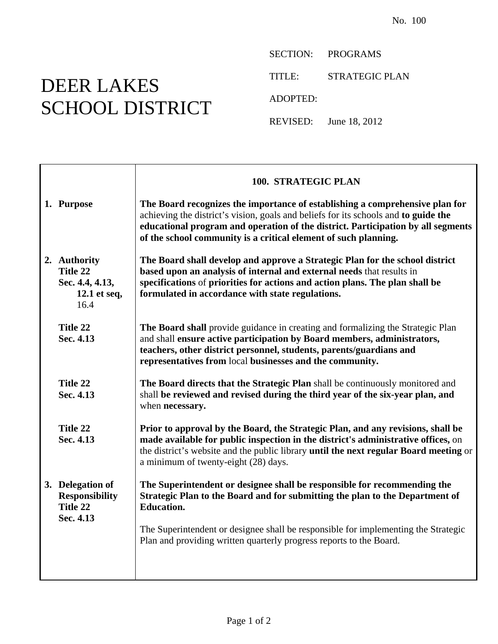## DEER LAKES SCHOOL DISTRICT

SECTION: PROGRAMS

TITLE: STRATEGIC PLAN

ADOPTED:

REVISED: June 18, 2012

|                                                                     | 100. STRATEGIC PLAN                                                                                                                                                                                                                                                                                                        |
|---------------------------------------------------------------------|----------------------------------------------------------------------------------------------------------------------------------------------------------------------------------------------------------------------------------------------------------------------------------------------------------------------------|
| 1. Purpose                                                          | The Board recognizes the importance of establishing a comprehensive plan for<br>achieving the district's vision, goals and beliefs for its schools and to guide the<br>educational program and operation of the district. Participation by all segments<br>of the school community is a critical element of such planning. |
| 2. Authority<br>Title 22<br>Sec. 4.4, 4.13,<br>12.1 et seq,<br>16.4 | The Board shall develop and approve a Strategic Plan for the school district<br>based upon an analysis of internal and external needs that results in<br>specifications of priorities for actions and action plans. The plan shall be<br>formulated in accordance with state regulations.                                  |
| Title 22<br>Sec. 4.13                                               | The Board shall provide guidance in creating and formalizing the Strategic Plan<br>and shall ensure active participation by Board members, administrators,<br>teachers, other district personnel, students, parents/guardians and<br>representatives from local businesses and the community.                              |
| Title 22<br>Sec. 4.13                                               | The Board directs that the Strategic Plan shall be continuously monitored and<br>shall be reviewed and revised during the third year of the six-year plan, and<br>when necessary.                                                                                                                                          |
| Title 22<br>Sec. 4.13                                               | Prior to approval by the Board, the Strategic Plan, and any revisions, shall be<br>made available for public inspection in the district's administrative offices, on<br>the district's website and the public library until the next regular Board meeting or<br>a minimum of twenty-eight (28) days.                      |
| 3. Delegation of<br><b>Responsibility</b><br>Title 22<br>Sec. 4.13  | The Superintendent or designee shall be responsible for recommending the<br>Strategic Plan to the Board and for submitting the plan to the Department of<br><b>Education.</b>                                                                                                                                              |
|                                                                     | The Superintendent or designee shall be responsible for implementing the Strategic<br>Plan and providing written quarterly progress reports to the Board.                                                                                                                                                                  |